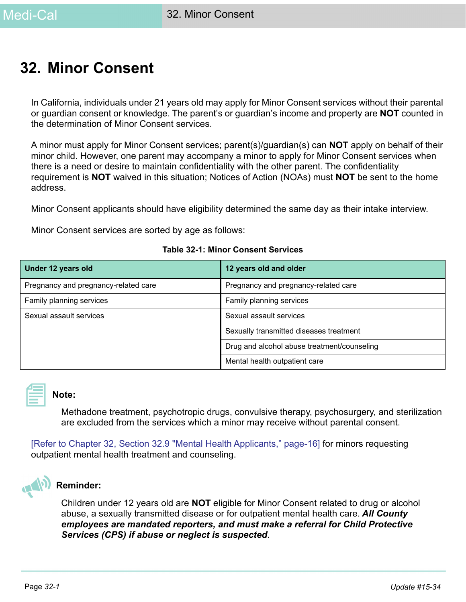# <span id="page-0-0"></span>**32. Minor Consent**

In California, individuals under 21 years old may apply for Minor Consent services without their parental or guardian consent or knowledge. The parent's or guardian's income and property are **NOT** counted in the determination of Minor Consent services.

A minor must apply for Minor Consent services; parent(s)/guardian(s) can **NOT** apply on behalf of their minor child. However, one parent may accompany a minor to apply for Minor Consent services when there is a need or desire to maintain confidentiality with the other parent. The confidentiality requirement is **NOT** waived in this situation; Notices of Action (NOAs) must **NOT** be sent to the home address.

Minor Consent applicants should have eligibility determined the same day as their intake interview.

Minor Consent services are sorted by age as follows:

| Under 12 years old                   | 12 years old and older                      |
|--------------------------------------|---------------------------------------------|
| Pregnancy and pregnancy-related care | Pregnancy and pregnancy-related care        |
| Family planning services             | Family planning services                    |
| Sexual assault services              | Sexual assault services                     |
|                                      | Sexually transmitted diseases treatment     |
|                                      | Drug and alcohol abuse treatment/counseling |
|                                      | Mental health outpatient care               |

#### **Table 32-1: Minor Consent Services**



#### **Note:**

Methadone treatment, psychotropic drugs, convulsive therapy, psychosurgery, and sterilization are excluded from the services which a minor may receive without parental consent.

[\[Refer to Chapter 32, Section 32.9 "Mental Health Applicants," page-16\]](#page-15-0) for minors requesting outpatient mental health treatment and counseling.



#### **Reminder:**

Children under 12 years old are **NOT** eligible for Minor Consent related to drug or alcohol abuse, a sexually transmitted disease or for outpatient mental health care. *All County employees are mandated reporters, and must make a referral for Child Protective Services (CPS) if abuse or neglect is suspected*.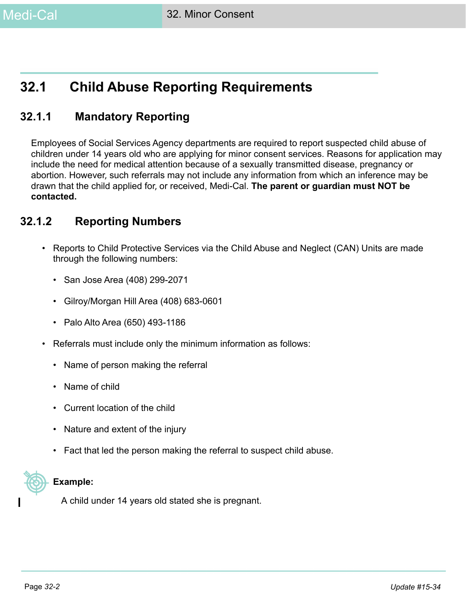# **32.1 Child Abuse Reporting Requirements**

### **32.1.1 Mandatory Reporting**

Employees of Social Services Agency departments are required to report suspected child abuse of children under 14 years old who are applying for minor consent services. Reasons for application may include the need for medical attention because of a sexually transmitted disease, pregnancy or abortion. However, such referrals may not include any information from which an inference may be drawn that the child applied for, or received, Medi-Cal. **The parent or guardian must NOT be contacted.**

### **32.1.2 Reporting Numbers**

- Reports to Child Protective Services via the Child Abuse and Neglect (CAN) Units are made through the following numbers:
	- San Jose Area (408) 299-2071
	- Gilroy/Morgan Hill Area (408) 683-0601
	- Palo Alto Area (650) 493-1186
- Referrals must include only the minimum information as follows:
	- Name of person making the referral
	- Name of child
	- Current location of the child
	- Nature and extent of the injury
	- Fact that led the person making the referral to suspect child abuse.



#### **Example:**

A child under 14 years old stated she is pregnant.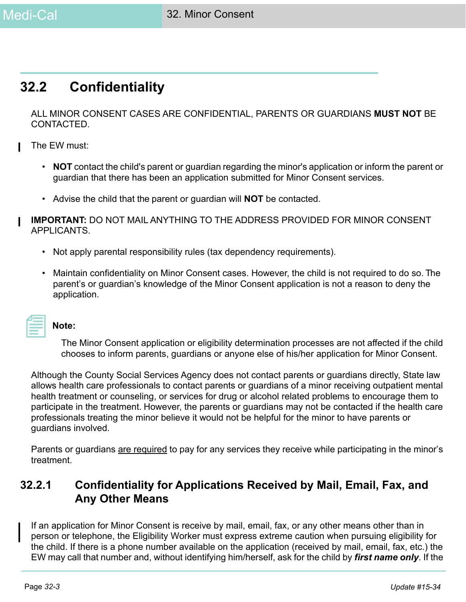## **32.2 Confidentiality**

ALL MINOR CONSENT CASES ARE CONFIDENTIAL, PARENTS OR GUARDIANS **MUST NOT** BE CONTACTED.

- The EW must:
	- **NOT** contact the child's parent or guardian regarding the minor's application or inform the parent or guardian that there has been an application submitted for Minor Consent services.
	- Advise the child that the parent or guardian will **NOT** be contacted.
- **IMPORTANT:** DO NOT MAIL ANYTHING TO THE ADDRESS PROVIDED FOR MINOR CONSENT APPLICANTS.
	- Not apply parental responsibility rules (tax dependency requirements).
	- Maintain confidentiality on Minor Consent cases. However, the child is not required to do so. The parent's or guardian's knowledge of the Minor Consent application is not a reason to deny the application.

| and the state of the state of the state of the state of the state of the state of the state of the state of th |  |
|----------------------------------------------------------------------------------------------------------------|--|
| ________                                                                                                       |  |
|                                                                                                                |  |

#### **Note:**

The Minor Consent application or eligibility determination processes are not affected if the child chooses to inform parents, guardians or anyone else of his/her application for Minor Consent.

Although the County Social Services Agency does not contact parents or guardians directly, State law allows health care professionals to contact parents or guardians of a minor receiving outpatient mental health treatment or counseling, or services for drug or alcohol related problems to encourage them to participate in the treatment. However, the parents or guardians may not be contacted if the health care professionals treating the minor believe it would not be helpful for the minor to have parents or guardians involved.

Parents or guardians are required to pay for any services they receive while participating in the minor's treatment.

### **32.2.1 Confidentiality for Applications Received by Mail, Email, Fax, and Any Other Means**

If an application for Minor Consent is receive by mail, email, fax, or any other means other than in person or telephone, the Eligibility Worker must express extreme caution when pursuing eligibility for the child. If there is a phone number available on the application (received by mail, email, fax, etc.) the EW may call that number and, without identifying him/herself, ask for the child by *first name only*. If the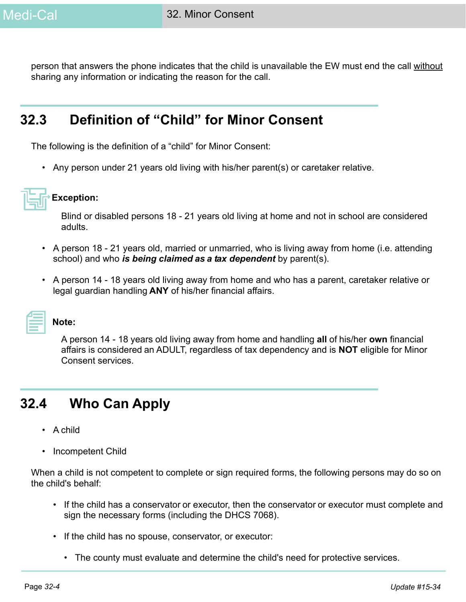person that answers the phone indicates that the child is unavailable the EW must end the call without sharing any information or indicating the reason for the call.

# **32.3 Definition of "Child" for Minor Consent**

The following is the definition of a "child" for Minor Consent:

• Any person under 21 years old living with his/her parent(s) or caretaker relative.



#### **Exception:**

Blind or disabled persons 18 - 21 years old living at home and not in school are considered adults.

- A person 18 21 years old, married or unmarried, who is living away from home (i.e. attending school) and who *is being claimed as a tax dependent* by parent(s).
- A person 14 18 years old living away from home and who has a parent, caretaker relative or legal guardian handling **ANY** of his/her financial affairs.



#### **Note:**

A person 14 - 18 years old living away from home and handling **all** of his/her **own** financial affairs is considered an ADULT, regardless of tax dependency and is **NOT** eligible for Minor Consent services.

# <span id="page-3-0"></span>**32.4 Who Can Apply**

- A child
- Incompetent Child

When a child is not competent to complete or sign required forms, the following persons may do so on the child's behalf:

- If the child has a conservator or executor, then the conservator or executor must complete and sign the necessary forms (including the DHCS 7068).
- If the child has no spouse, conservator, or executor:
	- The county must evaluate and determine the child's need for protective services.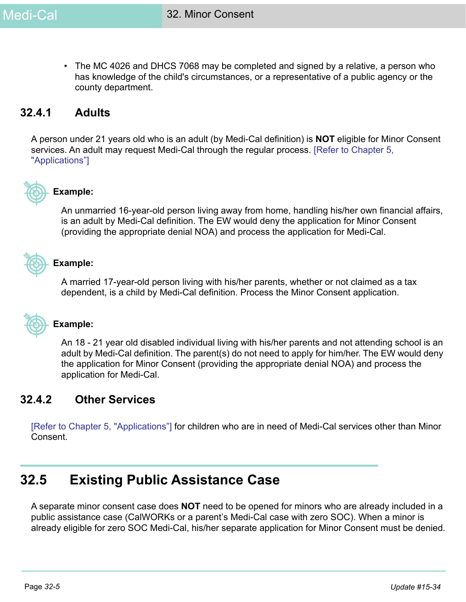• The MC 4026 and DHCS 7068 may be completed and signed by a relative, a person who has knowledge of the child's circumstances, or a representative of a public agency or the county department.

### **32.4.1 Adults**

A person under 21 years old who is an adult (by Medi-Cal definition) is **NOT** eligible for Minor Consent services. An adult may request Medi-Cal through the regular process. [Refer to Chapter 5, "Applications"]



### **Example:**

An unmarried 16-year-old person living away from home, handling his/her own financial affairs, is an adult by Medi-Cal definition. The EW would deny the application for Minor Consent (providing the appropriate denial NOA) and process the application for Medi-Cal.



#### **Example:**

A married 17-year-old person living with his/her parents, whether or not claimed as a tax dependent, is a child by Medi-Cal definition. Process the Minor Consent application.



#### **Example:**

An 18 - 21 year old disabled individual living with his/her parents and not attending school is an adult by Medi-Cal definition. The parent(s) do not need to apply for him/her. The EW would deny the application for Minor Consent (providing the appropriate denial NOA) and process the application for Medi-Cal.

#### **32.4.2 Other Services**

[Refer to Chapter 5, "Applications"] for children who are in need of Medi-Cal services other than Minor Consent.

## **32.5 Existing Public Assistance Case**

A separate minor consent case does **NOT** need to be opened for minors who are already included in a public assistance case (CalWORKs or a parent's Medi-Cal case with zero SOC). When a minor is already eligible for zero SOC Medi-Cal, his/her separate application for Minor Consent must be denied.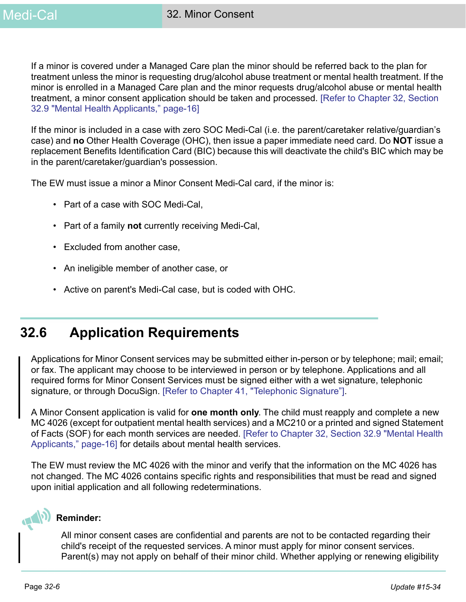If a minor is covered under a Managed Care plan the minor should be referred back to the plan for treatment unless the minor is requesting drug/alcohol abuse treatment or mental health treatment. If the minor is enrolled in a Managed Care plan and the minor requests drug/alcohol abuse or mental health treatment, a minor consent application should be taken and processed. [\[Refer to Chapter 32, Section](#page-15-0)  [32.9 "Mental Health Applicants," page-16\]](#page-15-0)

If the minor is included in a case with zero SOC Medi-Cal (i.e. the parent/caretaker relative/guardian's case) and **no** Other Health Coverage (OHC), then issue a paper immediate need card. Do **NOT** issue a replacement Benefits Identification Card (BIC) because this will deactivate the child's BIC which may be in the parent/caretaker/guardian's possession.

The EW must issue a minor a Minor Consent Medi-Cal card, if the minor is:

- Part of a case with SOC Medi-Cal,
- Part of a family **not** currently receiving Medi-Cal,
- Excluded from another case,
- An ineligible member of another case, or
- Active on parent's Medi-Cal case, but is coded with OHC.

# **32.6 Application Requirements**

Applications for Minor Consent services may be submitted either in-person or by telephone; mail; email; or fax. The applicant may choose to be interviewed in person or by telephone. Applications and all required forms for Minor Consent Services must be signed either with a wet signature, telephonic signature, or through DocuSign. [Refer to Chapter 41, "Telephonic Signature"].

A Minor Consent application is valid for **one month only**. The child must reapply and complete a new MC 4026 (except for outpatient mental health services) and a MC210 or a printed and signed Statement of Facts (SOF) for each month services are needed. [\[Refer to Chapter 32, Section 32.9 "Mental Health](#page-15-0)  [Applicants," page-16\]](#page-15-0) for details about mental health services.

The EW must review the MC 4026 with the minor and verify that the information on the MC 4026 has not changed. The MC 4026 contains specific rights and responsibilities that must be read and signed upon initial application and all following redeterminations.



#### **Reminder:**

All minor consent cases are confidential and parents are not to be contacted regarding their child's receipt of the requested services. A minor must apply for minor consent services. Parent(s) may not apply on behalf of their minor child. Whether applying or renewing eligibility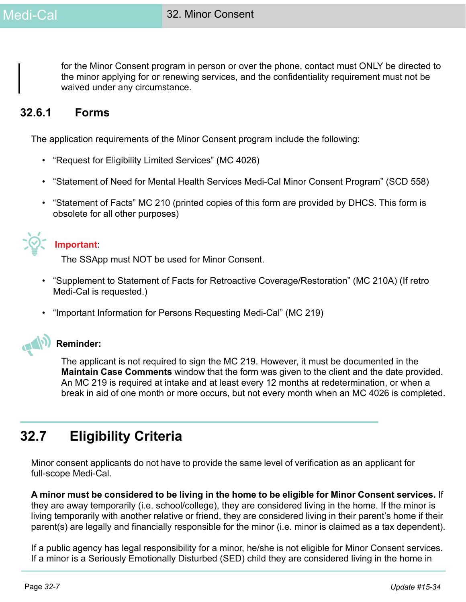for the Minor Consent program in person or over the phone, contact must ONLY be directed to the minor applying for or renewing services, and the confidentiality requirement must not be waived under any circumstance.

### **32.6.1 Forms**

The application requirements of the Minor Consent program include the following:

- "Request for Eligibility Limited Services" (MC 4026)
- "Statement of Need for Mental Health Services Medi-Cal Minor Consent Program" (SCD 558)
- "Statement of Facts" MC 210 (printed copies of this form are provided by DHCS. This form is obsolete for all other purposes)



#### **Important**:

The SSApp must NOT be used for Minor Consent.

- "Supplement to Statement of Facts for Retroactive Coverage/Restoration" (MC 210A) (If retro Medi-Cal is requested.)
- "Important Information for Persons Requesting Medi-Cal" (MC 219)



### **Reminder:**

The applicant is not required to sign the MC 219. However, it must be documented in the **Maintain Case Comments** window that the form was given to the client and the date provided. An MC 219 is required at intake and at least every 12 months at redetermination, or when a break in aid of one month or more occurs, but not every month when an MC 4026 is completed.

# **32.7 Eligibility Criteria**

Minor consent applicants do not have to provide the same level of verification as an applicant for full-scope Medi-Cal.

**A minor must be considered to be living in the home to be eligible for Minor Consent services.** If they are away temporarily (i.e. school/college), they are considered living in the home. If the minor is living temporarily with another relative or friend, they are considered living in their parent's home if their parent(s) are legally and financially responsible for the minor (i.e. minor is claimed as a tax dependent).

If a public agency has legal responsibility for a minor, he/she is not eligible for Minor Consent services. If a minor is a Seriously Emotionally Disturbed (SED) child they are considered living in the home in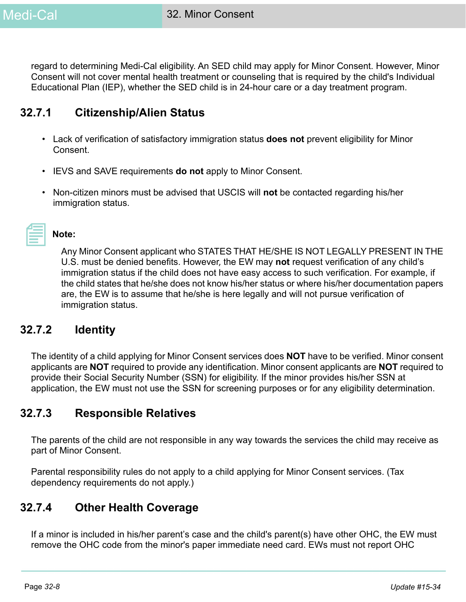regard to determining Medi-Cal eligibility. An SED child may apply for Minor Consent. However, Minor Consent will not cover mental health treatment or counseling that is required by the child's Individual Educational Plan (IEP), whether the SED child is in 24-hour care or a day treatment program.

### **32.7.1 Citizenship/Alien Status**

- Lack of verification of satisfactory immigration status **does not** prevent eligibility for Minor Consent.
- IEVS and SAVE requirements **do not** apply to Minor Consent.
- Non-citizen minors must be advised that USCIS will **not** be contacted regarding his/her immigration status.

| 2009년 - 대한민국의 대한민국의 대한민국의 대한민국의 대한민국의 대한민국의 대한민국의 대한민국의 대한민국의 대한민국의 대한민국의 대한민국의 대한민국의 대한민국의 대한민국의 대한민국의 대한민국의 |  |  |
|---------------------------------------------------------------------------------------------------------------|--|--|
|                                                                                                               |  |  |
|                                                                                                               |  |  |
|                                                                                                               |  |  |
|                                                                                                               |  |  |
|                                                                                                               |  |  |
|                                                                                                               |  |  |
|                                                                                                               |  |  |
| __________                                                                                                    |  |  |
|                                                                                                               |  |  |
|                                                                                                               |  |  |

Any Minor Consent applicant who STATES THAT HE/SHE IS NOT LEGALLY PRESENT IN THE U.S. must be denied benefits. However, the EW may **not** request verification of any child's immigration status if the child does not have easy access to such verification. For example, if the child states that he/she does not know his/her status or where his/her documentation papers are, the EW is to assume that he/she is here legally and will not pursue verification of immigration status.

### **32.7.2 Identity**

**Note:** 

The identity of a child applying for Minor Consent services does **NOT** have to be verified. Minor consent applicants are **NOT** required to provide any identification. Minor consent applicants are **NOT** required to provide their Social Security Number (SSN) for eligibility. If the minor provides his/her SSN at application, the EW must not use the SSN for screening purposes or for any eligibility determination.

### **32.7.3 Responsible Relatives**

The parents of the child are not responsible in any way towards the services the child may receive as part of Minor Consent.

Parental responsibility rules do not apply to a child applying for Minor Consent services. (Tax dependency requirements do not apply.)

### **32.7.4 Other Health Coverage**

If a minor is included in his/her parent's case and the child's parent(s) have other OHC, the EW must remove the OHC code from the minor's paper immediate need card. EWs must not report OHC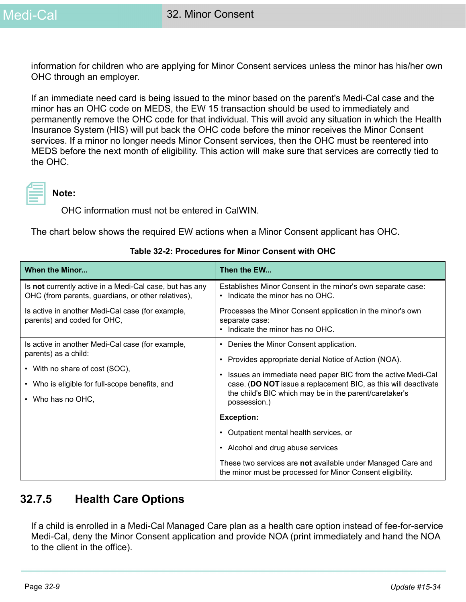information for children who are applying for Minor Consent services unless the minor has his/her own OHC through an employer.

If an immediate need card is being issued to the minor based on the parent's Medi-Cal case and the minor has an OHC code on MEDS, the EW 15 transaction should be used to immediately and permanently remove the OHC code for that individual. This will avoid any situation in which the Health Insurance System (HIS) will put back the OHC code before the minor receives the Minor Consent services. If a minor no longer needs Minor Consent services, then the OHC must be reentered into MEDS before the next month of eligibility. This action will make sure that services are correctly tied to the OHC.



#### **Note:**

OHC information must not be entered in CalWIN.

The chart below shows the required EW actions when a Minor Consent applicant has OHC.

| <b>When the Minor</b>                                                                                                                                                             | Then the EW                                                                                                                                                                                                                                                                                                            |
|-----------------------------------------------------------------------------------------------------------------------------------------------------------------------------------|------------------------------------------------------------------------------------------------------------------------------------------------------------------------------------------------------------------------------------------------------------------------------------------------------------------------|
| Is not currently active in a Medi-Cal case, but has any<br>OHC (from parents, guardians, or other relatives),                                                                     | Establishes Minor Consent in the minor's own separate case:<br>Indicate the minor has no OHC.<br>$\bullet$                                                                                                                                                                                                             |
| Is active in another Medi-Cal case (for example,<br>parents) and coded for OHC,                                                                                                   | Processes the Minor Consent application in the minor's own<br>separate case:<br>Indicate the minor has no OHC.                                                                                                                                                                                                         |
| Is active in another Medi-Cal case (for example,<br>parents) as a child:<br>• With no share of cost (SOC),<br>• Who is eligible for full-scope benefits, and<br>• Who has no OHC, | Denies the Minor Consent application.<br>٠<br>Provides appropriate denial Notice of Action (NOA).<br>٠<br>Issues an immediate need paper BIC from the active Medi-Cal<br>٠<br>case. (DO NOT issue a replacement BIC, as this will deactivate<br>the child's BIC which may be in the parent/caretaker's<br>possession.) |
|                                                                                                                                                                                   | <b>Exception:</b>                                                                                                                                                                                                                                                                                                      |
|                                                                                                                                                                                   | Outpatient mental health services, or                                                                                                                                                                                                                                                                                  |
|                                                                                                                                                                                   | Alcohol and drug abuse services<br>٠                                                                                                                                                                                                                                                                                   |
|                                                                                                                                                                                   | These two services are not available under Managed Care and<br>the minor must be processed for Minor Consent eligibility.                                                                                                                                                                                              |

#### **Table 32-2: Procedures for Minor Consent with OHC**

### **32.7.5 Health Care Options**

If a child is enrolled in a Medi-Cal Managed Care plan as a health care option instead of fee-for-service Medi-Cal, deny the Minor Consent application and provide NOA (print immediately and hand the NOA to the client in the office).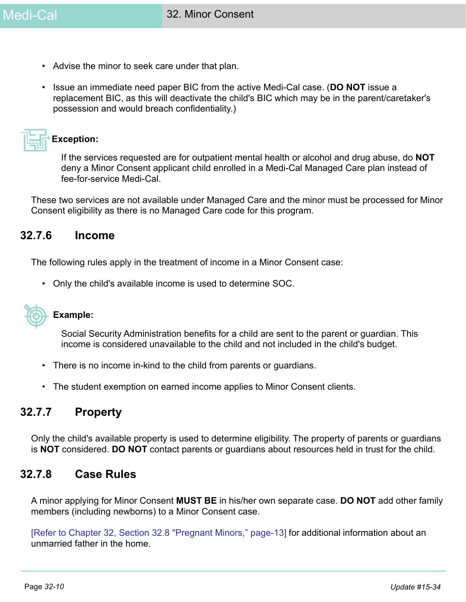- Advise the minor to seek care under that plan.
- Issue an immediate need paper BIC from the active Medi-Cal case. (**DO NOT** issue a replacement BIC, as this will deactivate the child's BIC which may be in the parent/caretaker's possession and would breach confidentiality.)



#### **Exception:**

If the services requested are for outpatient mental health or alcohol and drug abuse, do **NOT** deny a Minor Consent applicant child enrolled in a Medi-Cal Managed Care plan instead of fee-for-service Medi-Cal.

These two services are not available under Managed Care and the minor must be processed for Minor Consent eligibility as there is no Managed Care code for this program.

#### **32.7.6 Income**

The following rules apply in the treatment of income in a Minor Consent case:

• Only the child's available income is used to determine SOC.



#### **Example:**

Social Security Administration benefits for a child are sent to the parent or guardian. This income is considered unavailable to the child and not included in the child's budget.

- There is no income in-kind to the child from parents or guardians.
- The student exemption on earned income applies to Minor Consent clients.

### **32.7.7 Property**

Only the child's available property is used to determine eligibility. The property of parents or guardians is **NOT** considered. **DO NOT** contact parents or guardians about resources held in trust for the child.

#### **32.7.8 Case Rules**

A minor applying for Minor Consent **MUST BE** in his/her own separate case. **DO NOT** add other family members (including newborns) to a Minor Consent case.

[\[Refer to Chapter 32, Section 32.8 "Pregnant Minors," page-13\]](#page-12-0) for additional information about an unmarried father in the home.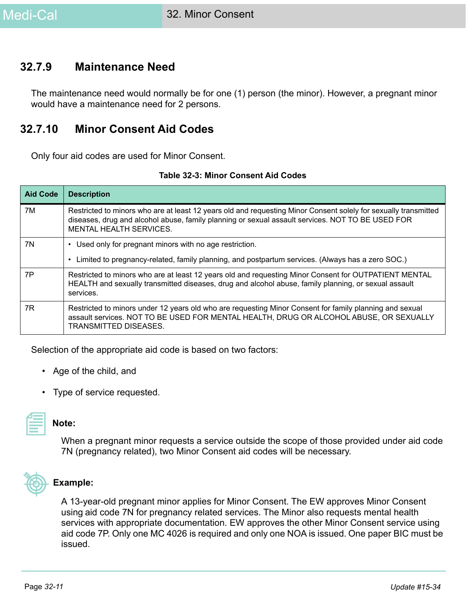### **32.7.9 Maintenance Need**

The maintenance need would normally be for one (1) person (the minor). However, a pregnant minor would have a maintenance need for 2 persons.

### **32.7.10 Minor Consent Aid Codes**

Only four aid codes are used for Minor Consent.

| <b>Aid Code</b> | <b>Description</b>                                                                                                                                                                                                                                    |
|-----------------|-------------------------------------------------------------------------------------------------------------------------------------------------------------------------------------------------------------------------------------------------------|
| 7M              | Restricted to minors who are at least 12 years old and requesting Minor Consent solely for sexually transmitted<br>diseases, drug and alcohol abuse, family planning or sexual assault services. NOT TO BE USED FOR<br><b>MENTAL HEALTH SERVICES.</b> |
| 7N              | Used only for pregnant minors with no age restriction.                                                                                                                                                                                                |
|                 | Limited to pregnancy-related, family planning, and postpartum services. (Always has a zero SOC.)                                                                                                                                                      |
| 7P              | Restricted to minors who are at least 12 years old and requesting Minor Consent for OUTPATIENT MENTAL<br>HEALTH and sexually transmitted diseases, drug and alcohol abuse, family planning, or sexual assault<br>services.                            |
| 7R              | Restricted to minors under 12 years old who are requesting Minor Consent for family planning and sexual<br>assault services. NOT TO BE USED FOR MENTAL HEALTH, DRUG OR ALCOHOL ABUSE, OR SEXUALLY<br>TRANSMITTED DISEASES.                            |

#### **Table 32-3: Minor Consent Aid Codes**

Selection of the appropriate aid code is based on two factors:

- Age of the child, and
- Type of service requested.



#### **Note:**

When a pregnant minor requests a service outside the scope of those provided under aid code 7N (pregnancy related), two Minor Consent aid codes will be necessary.



#### **Example:**

A 13-year-old pregnant minor applies for Minor Consent. The EW approves Minor Consent using aid code 7N for pregnancy related services. The Minor also requests mental health services with appropriate documentation. EW approves the other Minor Consent service using aid code 7P. Only one MC 4026 is required and only one NOA is issued. One paper BIC must be issued.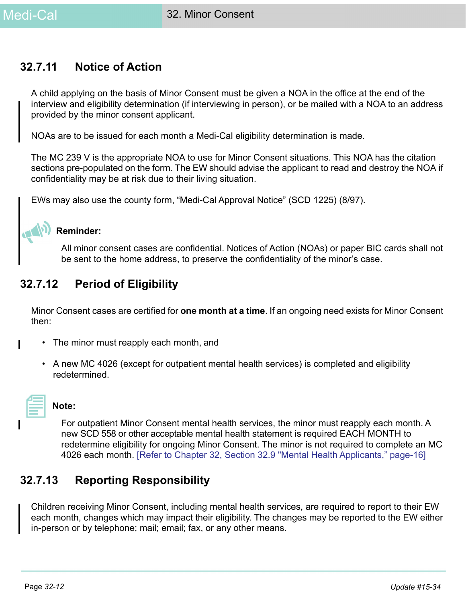### **32.7.11 Notice of Action**

A child applying on the basis of Minor Consent must be given a NOA in the office at the end of the interview and eligibility determination (if interviewing in person), or be mailed with a NOA to an address provided by the minor consent applicant.

NOAs are to be issued for each month a Medi-Cal eligibility determination is made.

The MC 239 V is the appropriate NOA to use for Minor Consent situations. This NOA has the citation sections pre-populated on the form. The EW should advise the applicant to read and destroy the NOA if confidentiality may be at risk due to their living situation.

EWs may also use the county form, "Medi-Cal Approval Notice" (SCD 1225) (8/97).

### **Reminder:**

 $\sqrt{ }$ 

All minor consent cases are confidential. Notices of Action (NOAs) or paper BIC cards shall not be sent to the home address, to preserve the confidentiality of the minor's case.

### **32.7.12 Period of Eligibility**

Minor Consent cases are certified for **one month at a time**. If an ongoing need exists for Minor Consent then:

- The minor must reapply each month, and
	- A new MC 4026 (except for outpatient mental health services) is completed and eligibility redetermined.



#### **Note:**

For outpatient Minor Consent mental health services, the minor must reapply each month. A new SCD 558 or other acceptable mental health statement is required EACH MONTH to redetermine eligibility for ongoing Minor Consent. The minor is not required to complete an MC 4026 each month. [\[Refer to Chapter 32, Section 32.9 "Mental Health Applicants," page-16\]](#page-15-0)

### **32.7.13 Reporting Responsibility**

Children receiving Minor Consent, including mental health services, are required to report to their EW each month, changes which may impact their eligibility. The changes may be reported to the EW either in-person or by telephone; mail; email; fax, or any other means.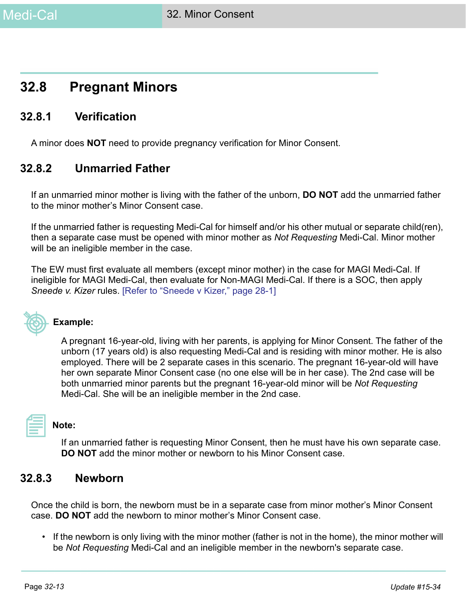## <span id="page-12-0"></span>**32.8 Pregnant Minors**

### **32.8.1 Verification**

A minor does **NOT** need to provide pregnancy verification for Minor Consent.

### **32.8.2 Unmarried Father**

If an unmarried minor mother is living with the father of the unborn, **DO NOT** add the unmarried father to the minor mother's Minor Consent case.

If the unmarried father is requesting Medi-Cal for himself and/or his other mutual or separate child(ren), then a separate case must be opened with minor mother as *Not Requesting* Medi-Cal. Minor mother will be an ineligible member in the case.

The EW must first evaluate all members (except minor mother) in the case for MAGI Medi-Cal. If ineligible for MAGI Medi-Cal, then evaluate for Non-MAGI Medi-Cal. If there is a SOC, then apply *Sneede v. Kizer* rules. [\[Refer to "Sneede v Kizer," page 28-1\]](#page-0-0)



#### **Example:**

A pregnant 16-year-old, living with her parents, is applying for Minor Consent. The father of the unborn (17 years old) is also requesting Medi-Cal and is residing with minor mother. He is also employed. There will be 2 separate cases in this scenario. The pregnant 16-year-old will have her own separate Minor Consent case (no one else will be in her case). The 2nd case will be both unmarried minor parents but the pregnant 16-year-old minor will be *Not Requesting*  Medi-Cal. She will be an ineligible member in the 2nd case.

#### **Note:**

If an unmarried father is requesting Minor Consent, then he must have his own separate case. **DO NOT** add the minor mother or newborn to his Minor Consent case.

#### **32.8.3 Newborn**

Once the child is born, the newborn must be in a separate case from minor mother's Minor Consent case. **DO NOT** add the newborn to minor mother's Minor Consent case.

• If the newborn is only living with the minor mother (father is not in the home), the minor mother will be *Not Requesting* Medi-Cal and an ineligible member in the newborn's separate case.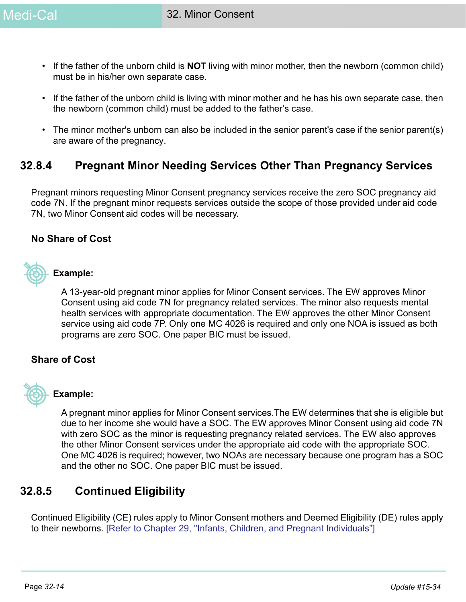- If the father of the unborn child is **NOT** living with minor mother, then the newborn (common child) must be in his/her own separate case.
- If the father of the unborn child is living with minor mother and he has his own separate case, then the newborn (common child) must be added to the father's case.
- The minor mother's unborn can also be included in the senior parent's case if the senior parent(s) are aware of the pregnancy.

### **32.8.4 Pregnant Minor Needing Services Other Than Pregnancy Services**

Pregnant minors requesting Minor Consent pregnancy services receive the zero SOC pregnancy aid code 7N. If the pregnant minor requests services outside the scope of those provided under aid code 7N, two Minor Consent aid codes will be necessary.

#### **No Share of Cost**



#### **Example:**

A 13-year-old pregnant minor applies for Minor Consent services. The EW approves Minor Consent using aid code 7N for pregnancy related services. The minor also requests mental health services with appropriate documentation. The EW approves the other Minor Consent service using aid code 7P. Only one MC 4026 is required and only one NOA is issued as both programs are zero SOC. One paper BIC must be issued.

#### **Share of Cost**



#### **Example:**

A pregnant minor applies for Minor Consent services.The EW determines that she is eligible but due to her income she would have a SOC. The EW approves Minor Consent using aid code 7N with zero SOC as the minor is requesting pregnancy related services. The EW also approves the other Minor Consent services under the appropriate aid code with the appropriate SOC. One MC 4026 is required; however, two NOAs are necessary because one program has a SOC and the other no SOC. One paper BIC must be issued.

### **32.8.5 Continued Eligibility**

Continued Eligibility (CE) rules apply to Minor Consent mothers and Deemed Eligibility (DE) rules apply to their newborns. [\[Refer to Chapter 29, "Infants, Children, and Pregnant Individuals"\]](#page-0-0)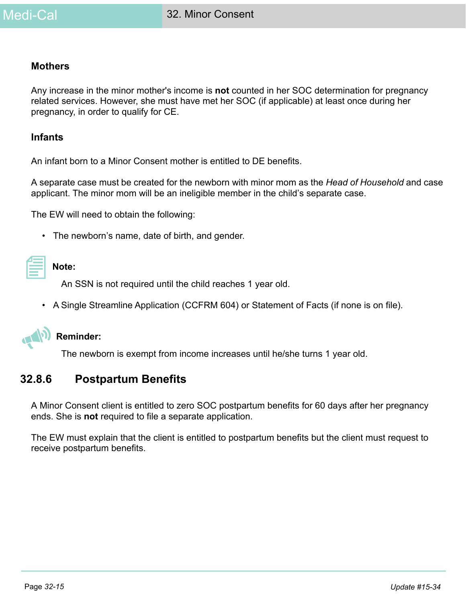#### **Mothers**

Any increase in the minor mother's income is **not** counted in her SOC determination for pregnancy related services. However, she must have met her SOC (if applicable) at least once during her pregnancy, in order to qualify for CE.

#### **Infants**

An infant born to a Minor Consent mother is entitled to DE benefits.

A separate case must be created for the newborn with minor mom as the *Head of Household* and case applicant. The minor mom will be an ineligible member in the child's separate case.

The EW will need to obtain the following:

• The newborn's name, date of birth, and gender.

## **Note:**

An SSN is not required until the child reaches 1 year old.

• A Single Streamline Application (CCFRM 604) or Statement of Facts (if none is on file).



#### **Reminder:**

The newborn is exempt from income increases until he/she turns 1 year old.

#### **32.8.6 Postpartum Benefits**

A Minor Consent client is entitled to zero SOC postpartum benefits for 60 days after her pregnancy ends. She is **not** required to file a separate application.

The EW must explain that the client is entitled to postpartum benefits but the client must request to receive postpartum benefits.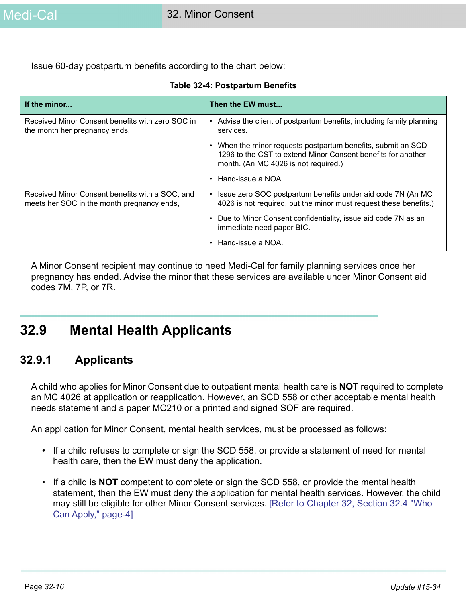Issue 60-day postpartum benefits according to the chart below:

| If the minor                                                                                  | Then the EW must                                                                                                                                                   |
|-----------------------------------------------------------------------------------------------|--------------------------------------------------------------------------------------------------------------------------------------------------------------------|
| Received Minor Consent benefits with zero SOC in<br>the month her pregnancy ends,             | Advise the client of postpartum benefits, including family planning<br>٠<br>services.                                                                              |
|                                                                                               | When the minor requests postpartum benefits, submit an SCD<br>1296 to the CST to extend Minor Consent benefits for another<br>month. (An MC 4026 is not required.) |
|                                                                                               | Hand-issue a NOA.                                                                                                                                                  |
| Received Minor Consent benefits with a SOC, and<br>meets her SOC in the month pregnancy ends, | Issue zero SOC postpartum benefits under aid code 7N (An MC<br>$\bullet$<br>4026 is not required, but the minor must request these benefits.)                      |
|                                                                                               | Due to Minor Consent confidentiality, issue aid code 7N as an<br>immediate need paper BIC.                                                                         |
|                                                                                               | Hand-issue a NOA.                                                                                                                                                  |

#### **Table 32-4: Postpartum Benefits**

A Minor Consent recipient may continue to need Medi-Cal for family planning services once her pregnancy has ended. Advise the minor that these services are available under Minor Consent aid codes 7M, 7P, or 7R.

# <span id="page-15-0"></span>**32.9 Mental Health Applicants**

### **32.9.1 Applicants**

A child who applies for Minor Consent due to outpatient mental health care is **NOT** required to complete an MC 4026 at application or reapplication. However, an SCD 558 or other acceptable mental health needs statement and a paper MC210 or a printed and signed SOF are required.

An application for Minor Consent, mental health services, must be processed as follows:

- If a child refuses to complete or sign the SCD 558, or provide a statement of need for mental health care, then the EW must deny the application.
- If a child is **NOT** competent to complete or sign the SCD 558, or provide the mental health statement, then the EW must deny the application for mental health services. However, the child may still be eligible for other Minor Consent services. [\[Refer to Chapter 32, Section 32.4 "Who](#page-3-0)  [Can Apply," page-4\]](#page-3-0)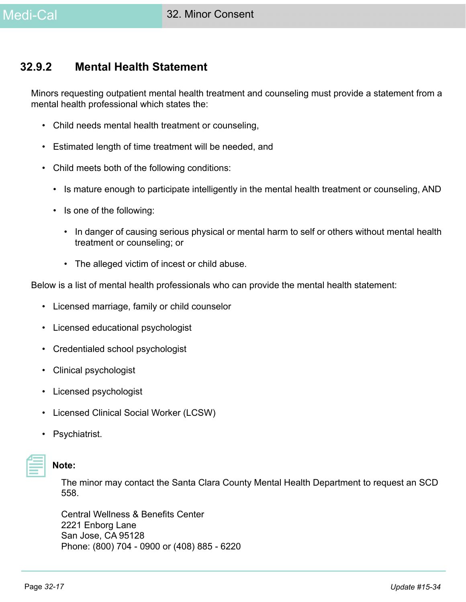### **32.9.2 Mental Health Statement**

Minors requesting outpatient mental health treatment and counseling must provide a statement from a mental health professional which states the:

- Child needs mental health treatment or counseling,
- Estimated length of time treatment will be needed, and
- Child meets both of the following conditions:
	- Is mature enough to participate intelligently in the mental health treatment or counseling, AND
	- Is one of the following:
		- In danger of causing serious physical or mental harm to self or others without mental health treatment or counseling; or
		- The alleged victim of incest or child abuse.

Below is a list of mental health professionals who can provide the mental health statement:

- Licensed marriage, family or child counselor
- Licensed educational psychologist
- Credentialed school psychologist
- Clinical psychologist
- Licensed psychologist
- Licensed Clinical Social Worker (LCSW)
- Psychiatrist.

### **Note:**

[The minor may contact the Santa Clara County Mental Health Department to request an SCD](https://www.sccgov.org/sites/mhd/Pages/default.aspx)  558.

[Central Wellness & Benefits Center](https://www.sccgov.org/sites/mhd/Pages/default.aspx) 2221 Enborg Lane San Jose, CA 95128 [Phone: \(800\) 704 - 0900 or \(408\) 885 - 6220](https://www.sccgov.org/sites/mhd/Pages/default.aspx)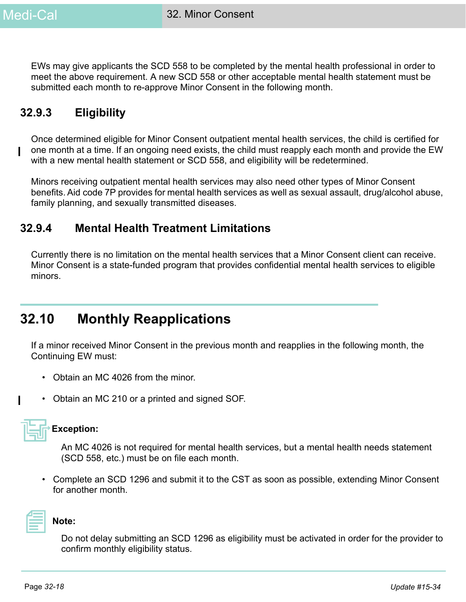EWs may give applicants the SCD 558 to be completed by the mental health professional in order to meet the above requirement. A new SCD 558 or other acceptable mental health statement must be submitted each month to re-approve Minor Consent in the following month.

### **32.9.3 Eligibility**

Once determined eligible for Minor Consent outpatient mental health services, the child is certified for one month at a time. If an ongoing need exists, the child must reapply each month and provide the EW with a new mental health statement or SCD 558, and eligibility will be redetermined.

Minors receiving outpatient mental health services may also need other types of Minor Consent benefits. Aid code 7P provides for mental health services as well as sexual assault, drug/alcohol abuse, family planning, and sexually transmitted diseases.

### **32.9.4 Mental Health Treatment Limitations**

Currently there is no limitation on the mental health services that a Minor Consent client can receive. Minor Consent is a state-funded program that provides confidential mental health services to eligible minors.

# **32.10 Monthly Reapplications**

If a minor received Minor Consent in the previous month and reapplies in the following month, the Continuing EW must:

- Obtain an MC 4026 from the minor.
- Obtain an MC 210 or a printed and signed SOF.

|--|

#### **Exception:**

An MC 4026 is not required for mental health services, but a mental health needs statement (SCD 558, etc.) must be on file each month.

• Complete an SCD 1296 and submit it to the CST as soon as possible, extending Minor Consent for another month.



#### **Note:**

Do not delay submitting an SCD 1296 as eligibility must be activated in order for the provider to confirm monthly eligibility status.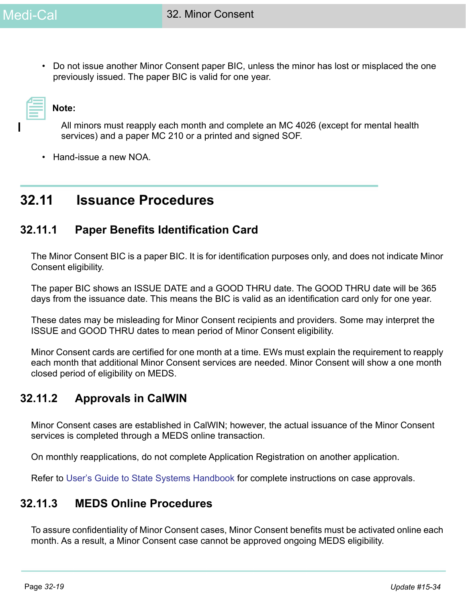• Do not issue another Minor Consent paper BIC, unless the minor has lost or misplaced the one previously issued. The paper BIC is valid for one year.

**Note:** 

All minors must reapply each month and complete an MC 4026 (except for mental health services) and a paper MC 210 or a printed and signed SOF.

• Hand-issue a new NOA.

## **32.11 Issuance Procedures**

### **32.11.1 Paper Benefits Identification Card**

The Minor Consent BIC is a paper BIC. It is for identification purposes only, and does not indicate Minor Consent eligibility.

The paper BIC shows an ISSUE DATE and a GOOD THRU date. The GOOD THRU date will be 365 days from the issuance date. This means the BIC is valid as an identification card only for one year.

These dates may be misleading for Minor Consent recipients and providers. Some may interpret the ISSUE and GOOD THRU dates to mean period of Minor Consent eligibility.

Minor Consent cards are certified for one month at a time. EWs must explain the requirement to reapply each month that additional Minor Consent services are needed. Minor Consent will show a one month closed period of eligibility on MEDS.

### **32.11.2 Approvals in CalWIN**

Minor Consent cases are established in CalWIN; however, the actual issuance of the Minor Consent services is completed through a MEDS online transaction.

On monthly reapplications, do not complete Application Registration on another application.

Refer to [User's Guide to State Systems Handbook f](https://ssaconnect.sccgov.org/ssa_departments/debs_program/Pages/meds_handbook.aspx)or complete instructions on case approvals.

### **32.11.3 MEDS Online Procedures**

To assure confidentiality of Minor Consent cases, Minor Consent benefits must be activated online each month. As a result, a Minor Consent case cannot be approved ongoing MEDS eligibility.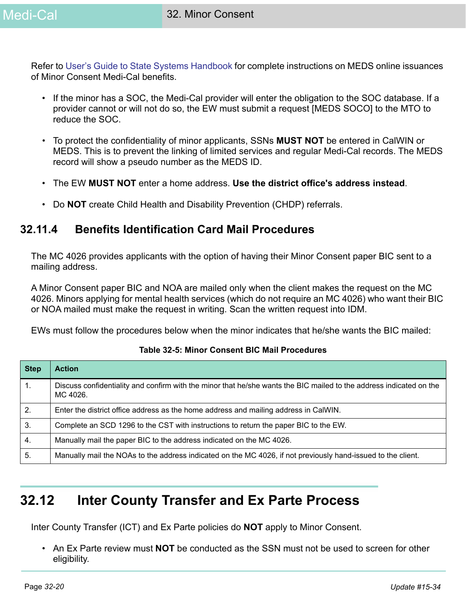[Refer to](https://ssaconnect.sccgov.org/ssa_departments/debs_program/Pages/meds_handbook.aspx) User's Guide to State Systems Handbook for complete instructions on MEDS online issuances of Minor Consent Medi-Cal benefits.

- If the minor has a SOC, the Medi-Cal provider will enter the obligation to the SOC database. If a provider cannot or will not do so, the EW must submit a request [MEDS SOCO] to the MTO to reduce the SOC.
- To protect the confidentiality of minor applicants, SSNs **MUST NOT** be entered in CalWIN or MEDS. This is to prevent the linking of limited services and regular Medi-Cal records. The MEDS record will show a pseudo number as the MEDS ID.
- The EW **MUST NOT** enter a home address. **Use the district office's address instead**.
- Do **NOT** create Child Health and Disability Prevention (CHDP) referrals.

### **32.11.4 Benefits Identification Card Mail Procedures**

The MC 4026 provides applicants with the option of having their Minor Consent paper BIC sent to a mailing address.

A Minor Consent paper BIC and NOA are mailed only when the client makes the request on the MC 4026. Minors applying for mental health services (which do not require an MC 4026) who want their BIC or NOA mailed must make the request in writing. Scan the written request into IDM.

EWs must follow the procedures below when the minor indicates that he/she wants the BIC mailed:

| <b>Step</b> | <b>Action</b>                                                                                                                   |
|-------------|---------------------------------------------------------------------------------------------------------------------------------|
| 1.          | Discuss confidentiality and confirm with the minor that he/she wants the BIC mailed to the address indicated on the<br>MC 4026. |
| 2.          | Enter the district office address as the home address and mailing address in CalWIN.                                            |
| 3.          | Complete an SCD 1296 to the CST with instructions to return the paper BIC to the EW.                                            |
| 4.          | Manually mail the paper BIC to the address indicated on the MC 4026.                                                            |
| 5.          | Manually mail the NOAs to the address indicated on the MC 4026, if not previously hand-issued to the client.                    |

#### **Table 32-5: Minor Consent BIC Mail Procedures**

# **32.12 Inter County Transfer and Ex Parte Process**

Inter County Transfer (ICT) and Ex Parte policies do **NOT** apply to Minor Consent.

• An Ex Parte review must **NOT** be conducted as the SSN must not be used to screen for other eligibility.